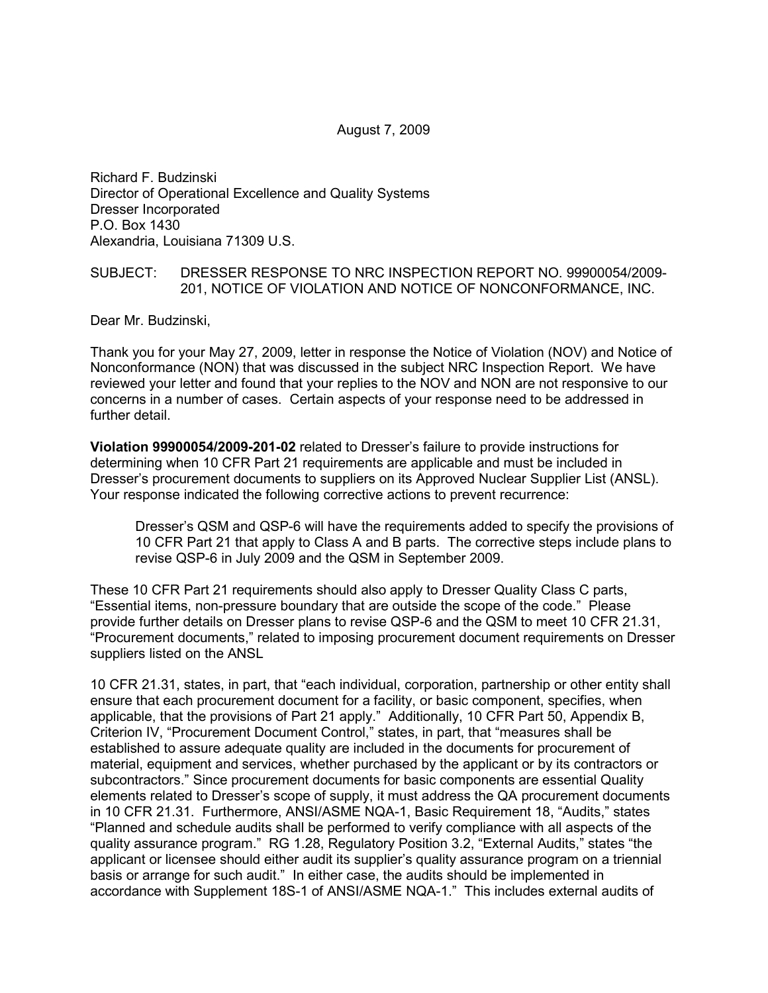Richard F. Budzinski Director of Operational Excellence and Quality Systems Dresser Incorporated P.O. Box 1430 Alexandria, Louisiana 71309 U.S.

#### SUBJECT: DRESSER RESPONSE TO NRC INSPECTION REPORT NO. 99900054/2009- 201, NOTICE OF VIOLATION AND NOTICE OF NONCONFORMANCE, INC.

Dear Mr. Budzinski,

Thank you for your May 27, 2009, letter in response the Notice of Violation (NOV) and Notice of Nonconformance (NON) that was discussed in the subject NRC Inspection Report. We have reviewed your letter and found that your replies to the NOV and NON are not responsive to our concerns in a number of cases. Certain aspects of your response need to be addressed in further detail.

**Violation 99900054/2009-201-02** related to Dresser's failure to provide instructions for determining when 10 CFR Part 21 requirements are applicable and must be included in Dresser's procurement documents to suppliers on its Approved Nuclear Supplier List (ANSL). Your response indicated the following corrective actions to prevent recurrence:

Dresser's QSM and QSP-6 will have the requirements added to specify the provisions of 10 CFR Part 21 that apply to Class A and B parts. The corrective steps include plans to revise QSP-6 in July 2009 and the QSM in September 2009.

These 10 CFR Part 21 requirements should also apply to Dresser Quality Class C parts, "Essential items, non-pressure boundary that are outside the scope of the code." Please provide further details on Dresser plans to revise QSP-6 and the QSM to meet 10 CFR 21.31, "Procurement documents," related to imposing procurement document requirements on Dresser suppliers listed on the ANSL

10 CFR 21.31, states, in part, that "each individual, corporation, partnership or other entity shall ensure that each procurement document for a facility, or basic component, specifies, when applicable, that the provisions of Part 21 apply." Additionally, 10 CFR Part 50, Appendix B, Criterion IV, "Procurement Document Control," states, in part, that "measures shall be established to assure adequate quality are included in the documents for procurement of material, equipment and services, whether purchased by the applicant or by its contractors or subcontractors." Since procurement documents for basic components are essential Quality elements related to Dresser's scope of supply, it must address the QA procurement documents in 10 CFR 21.31. Furthermore, ANSI/ASME NQA-1, Basic Requirement 18, "Audits," states "Planned and schedule audits shall be performed to verify compliance with all aspects of the quality assurance program." RG 1.28, Regulatory Position 3.2, "External Audits," states "the applicant or licensee should either audit its supplier's quality assurance program on a triennial basis or arrange for such audit." In either case, the audits should be implemented in accordance with Supplement 18S-1 of ANSI/ASME NQA-1." This includes external audits of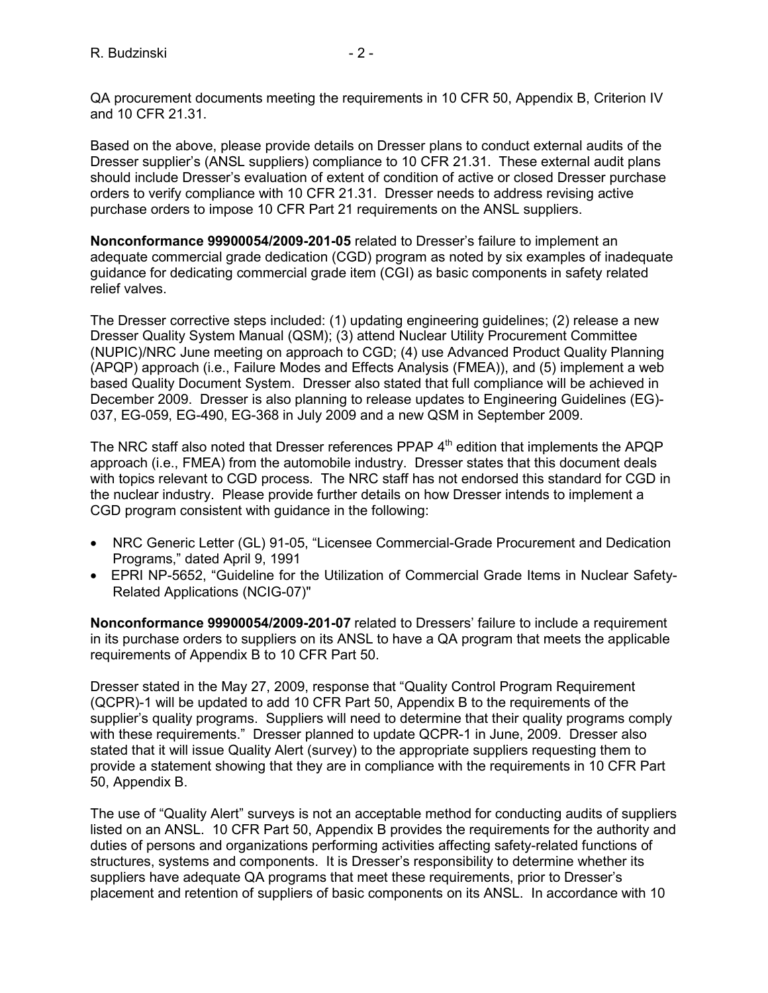QA procurement documents meeting the requirements in 10 CFR 50, Appendix B, Criterion IV and 10 CFR 21.31.

Based on the above, please provide details on Dresser plans to conduct external audits of the Dresser supplier's (ANSL suppliers) compliance to 10 CFR 21.31. These external audit plans should include Dresser's evaluation of extent of condition of active or closed Dresser purchase orders to verify compliance with 10 CFR 21.31. Dresser needs to address revising active purchase orders to impose 10 CFR Part 21 requirements on the ANSL suppliers.

**Nonconformance 99900054/2009-201-05** related to Dresser's failure to implement an adequate commercial grade dedication (CGD) program as noted by six examples of inadequate guidance for dedicating commercial grade item (CGI) as basic components in safety related relief valves.

The Dresser corrective steps included: (1) updating engineering guidelines; (2) release a new Dresser Quality System Manual (QSM); (3) attend Nuclear Utility Procurement Committee (NUPIC)/NRC June meeting on approach to CGD; (4) use Advanced Product Quality Planning (APQP) approach (i.e., Failure Modes and Effects Analysis (FMEA)), and (5) implement a web based Quality Document System. Dresser also stated that full compliance will be achieved in December 2009. Dresser is also planning to release updates to Engineering Guidelines (EG)- 037, EG-059, EG-490, EG-368 in July 2009 and a new QSM in September 2009.

The NRC staff also noted that Dresser references PPAP  $4<sup>th</sup>$  edition that implements the APQP approach (i.e., FMEA) from the automobile industry. Dresser states that this document deals with topics relevant to CGD process. The NRC staff has not endorsed this standard for CGD in the nuclear industry. Please provide further details on how Dresser intends to implement a CGD program consistent with guidance in the following:

- NRC Generic Letter (GL) 91-05, "Licensee Commercial-Grade Procurement and Dedication Programs," dated April 9, 1991
- EPRI NP-5652, "Guideline for the Utilization of Commercial Grade Items in Nuclear Safety-Related Applications (NCIG-07)"

**Nonconformance 99900054/2009-201-07** related to Dressers' failure to include a requirement in its purchase orders to suppliers on its ANSL to have a QA program that meets the applicable requirements of Appendix B to 10 CFR Part 50.

Dresser stated in the May 27, 2009, response that "Quality Control Program Requirement (QCPR)-1 will be updated to add 10 CFR Part 50, Appendix B to the requirements of the supplier's quality programs. Suppliers will need to determine that their quality programs comply with these requirements." Dresser planned to update QCPR-1 in June, 2009. Dresser also stated that it will issue Quality Alert (survey) to the appropriate suppliers requesting them to provide a statement showing that they are in compliance with the requirements in 10 CFR Part 50, Appendix B.

The use of "Quality Alert" surveys is not an acceptable method for conducting audits of suppliers listed on an ANSL. 10 CFR Part 50, Appendix B provides the requirements for the authority and duties of persons and organizations performing activities affecting safety-related functions of structures, systems and components. It is Dresser's responsibility to determine whether its suppliers have adequate QA programs that meet these requirements, prior to Dresser's placement and retention of suppliers of basic components on its ANSL. In accordance with 10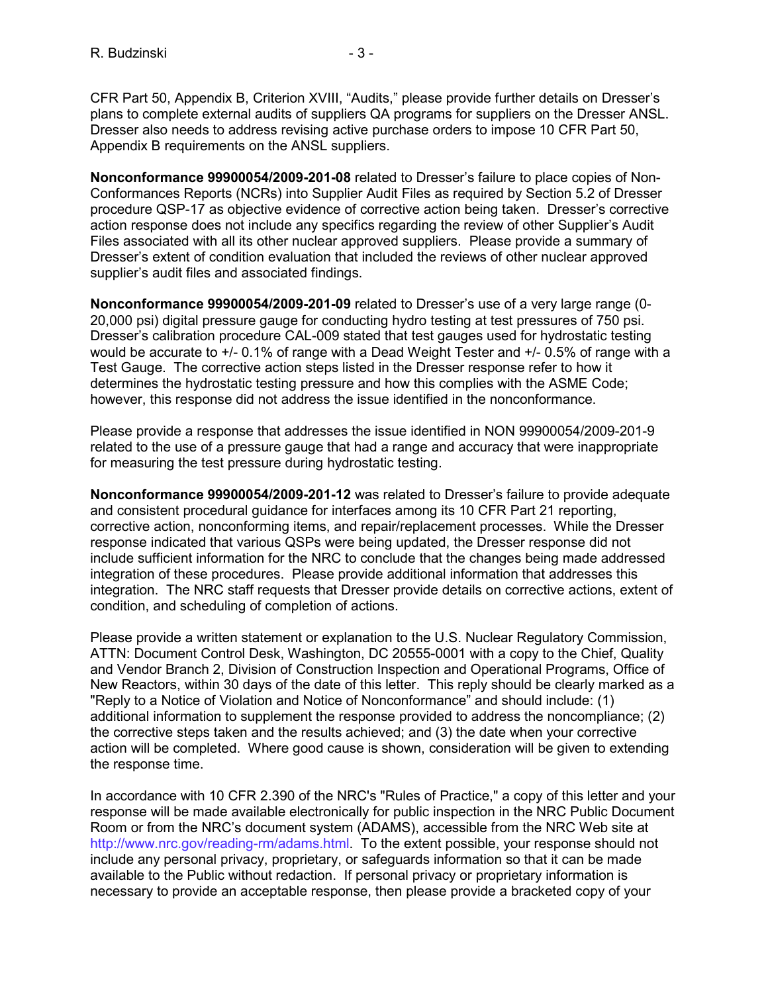CFR Part 50, Appendix B, Criterion XVIII, "Audits," please provide further details on Dresser's plans to complete external audits of suppliers QA programs for suppliers on the Dresser ANSL. Dresser also needs to address revising active purchase orders to impose 10 CFR Part 50, Appendix B requirements on the ANSL suppliers.

**Nonconformance 99900054/2009-201-08** related to Dresser's failure to place copies of Non-Conformances Reports (NCRs) into Supplier Audit Files as required by Section 5.2 of Dresser procedure QSP-17 as objective evidence of corrective action being taken. Dresser's corrective action response does not include any specifics regarding the review of other Supplier's Audit Files associated with all its other nuclear approved suppliers. Please provide a summary of Dresser's extent of condition evaluation that included the reviews of other nuclear approved supplier's audit files and associated findings.

**Nonconformance 99900054/2009-201-09** related to Dresser's use of a very large range (0- 20,000 psi) digital pressure gauge for conducting hydro testing at test pressures of 750 psi. Dresser's calibration procedure CAL-009 stated that test gauges used for hydrostatic testing would be accurate to  $+/- 0.1\%$  of range with a Dead Weight Tester and  $+/- 0.5\%$  of range with a Test Gauge. The corrective action steps listed in the Dresser response refer to how it determines the hydrostatic testing pressure and how this complies with the ASME Code; however, this response did not address the issue identified in the nonconformance.

Please provide a response that addresses the issue identified in NON 99900054/2009-201-9 related to the use of a pressure gauge that had a range and accuracy that were inappropriate for measuring the test pressure during hydrostatic testing.

**Nonconformance 99900054/2009-201-12** was related to Dresser's failure to provide adequate and consistent procedural guidance for interfaces among its 10 CFR Part 21 reporting, corrective action, nonconforming items, and repair/replacement processes. While the Dresser response indicated that various QSPs were being updated, the Dresser response did not include sufficient information for the NRC to conclude that the changes being made addressed integration of these procedures. Please provide additional information that addresses this integration. The NRC staff requests that Dresser provide details on corrective actions, extent of condition, and scheduling of completion of actions.

Please provide a written statement or explanation to the U.S. Nuclear Regulatory Commission, ATTN: Document Control Desk, Washington, DC 20555-0001 with a copy to the Chief, Quality and Vendor Branch 2, Division of Construction Inspection and Operational Programs, Office of New Reactors, within 30 days of the date of this letter. This reply should be clearly marked as a "Reply to a Notice of Violation and Notice of Nonconformance" and should include: (1) additional information to supplement the response provided to address the noncompliance; (2) the corrective steps taken and the results achieved; and (3) the date when your corrective action will be completed. Where good cause is shown, consideration will be given to extending the response time.

In accordance with 10 CFR 2.390 of the NRC's "Rules of Practice," a copy of this letter and your response will be made available electronically for public inspection in the NRC Public Document Room or from the NRC's document system (ADAMS), accessible from the NRC Web site at http://www.nrc.gov/reading-rm/adams.html. To the extent possible, your response should not include any personal privacy, proprietary, or safeguards information so that it can be made available to the Public without redaction. If personal privacy or proprietary information is necessary to provide an acceptable response, then please provide a bracketed copy of your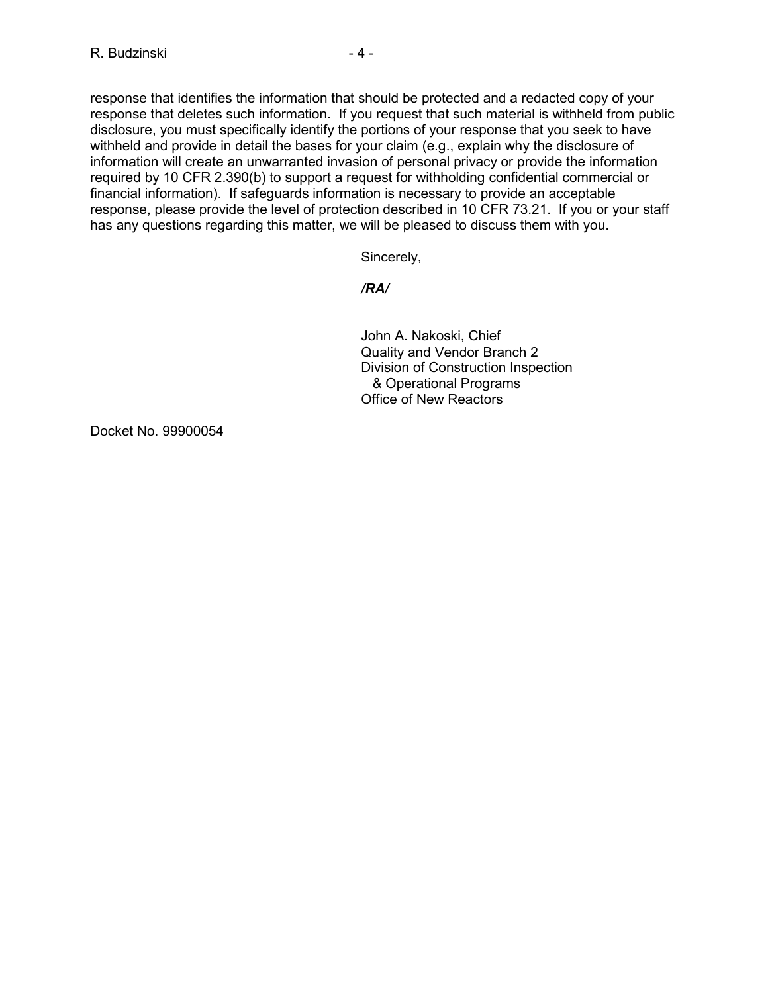response that identifies the information that should be protected and a redacted copy of your response that deletes such information. If you request that such material is withheld from public disclosure, you must specifically identify the portions of your response that you seek to have withheld and provide in detail the bases for your claim (e.g., explain why the disclosure of information will create an unwarranted invasion of personal privacy or provide the information required by 10 CFR 2.390(b) to support a request for withholding confidential commercial or financial information). If safeguards information is necessary to provide an acceptable response, please provide the level of protection described in 10 CFR 73.21. If you or your staff has any questions regarding this matter, we will be pleased to discuss them with you.

Sincerely,

# */RA/*

John A. Nakoski, Chief Quality and Vendor Branch 2 Division of Construction Inspection & Operational Programs Office of New Reactors

Docket No. 99900054